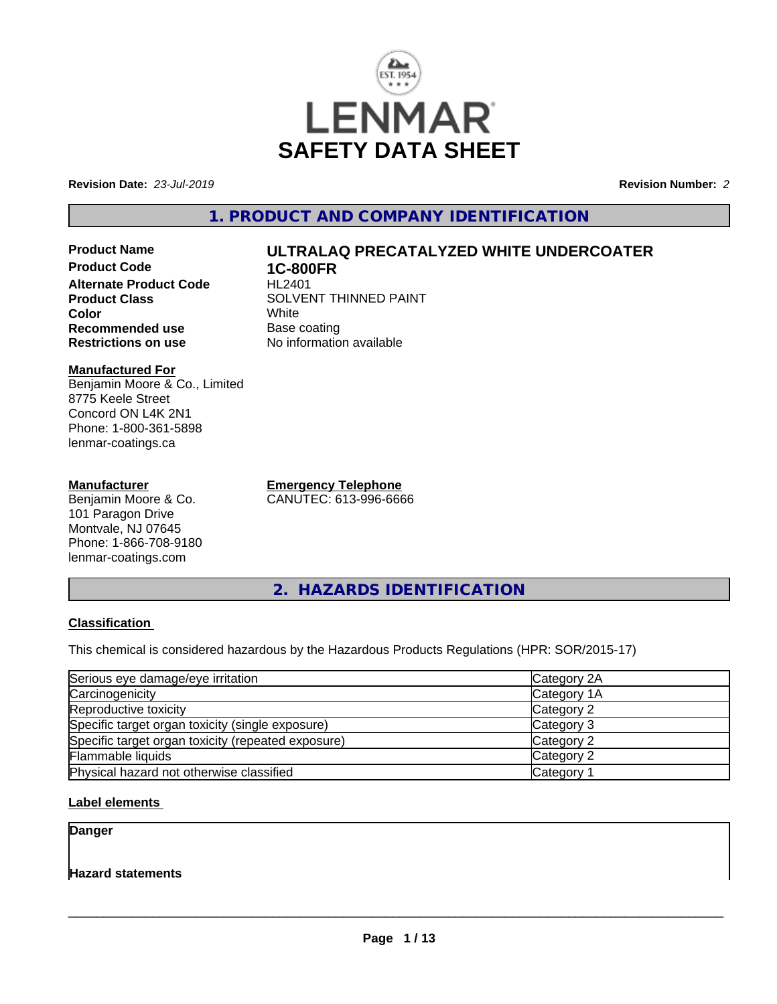

**Revision Date:** *23-Jul-2019* **Revision Number:** *2*

# **1. PRODUCT AND COMPANY IDENTIFICATION**

**Product Name ULTRALAQ PRECATALYZED WHITE UNDERCOATER Product Code 1C-800FR Alternate Product Code Product Class** SOLVENT THINNED PAINT<br>
Color **Color** White White **Recommended use** Base coating<br> **Restrictions on use** No information

#### **Manufactured For** Benjamin Moore & Co., Limited 8775 Keele Street Concord ON L4K 2N1 Phone: 1-800-361-5898 lenmar-coatings.ca

### **Manufacturer**

Benjamin Moore & Co. 101 Paragon Drive Montvale, NJ 07645 Phone: 1-866-708-9180 lenmar-coatings.com

**Emergency Telephone** CANUTEC: 613-996-6666

**No information available** 

**2. HAZARDS IDENTIFICATION**

### **Classification**

This chemical is considered hazardous by the Hazardous Products Regulations (HPR: SOR/2015-17)

| Serious eye damage/eye irritation                  | Category 2A |
|----------------------------------------------------|-------------|
| Carcinogenicity                                    | Category 1A |
| Reproductive toxicity                              | Category 2  |
| Specific target organ toxicity (single exposure)   | Category 3  |
| Specific target organ toxicity (repeated exposure) | Category 2  |
| Flammable liquids                                  | Category 2  |
| Physical hazard not otherwise classified           | Category 1  |

### **Label elements**

**Danger**

**Hazard statements**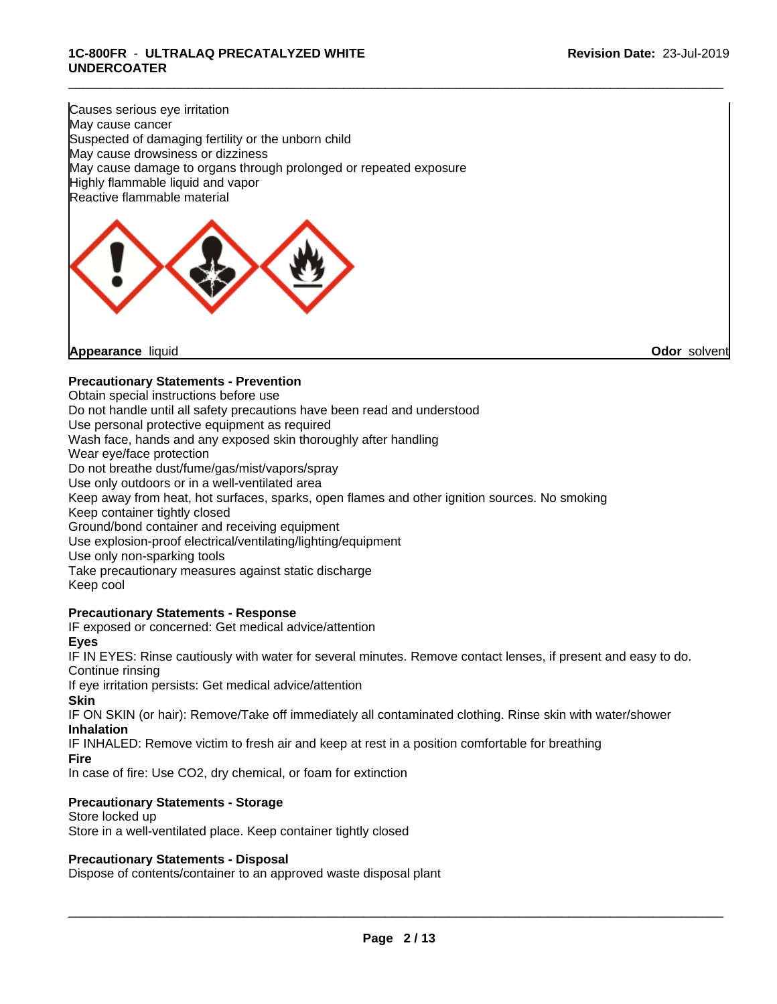\_\_\_\_\_\_\_\_\_\_\_\_\_\_\_\_\_\_\_\_\_\_\_\_\_\_\_\_\_\_\_\_\_\_\_\_\_\_\_\_\_\_\_\_\_\_\_\_\_\_\_\_\_\_\_\_\_\_\_\_\_\_\_\_\_\_\_\_\_\_\_\_\_\_\_\_\_\_\_\_\_\_\_\_\_\_\_\_\_\_\_\_\_

#### **1C-800FR** - **ULTRALAQ PRECATALYZED WHITE UNDERCOATER**

Causes serious eye irritation May cause cancer Suspected of damaging fertility or the unborn child May cause drowsiness or dizziness May cause damage to organs through prolonged or repeated exposure Highly flammable liquid and vapor Reactive flammable material



### **Precautionary Statements - Prevention**

Obtain special instructions before use Do not handle until all safety precautions have been read and understood Use personal protective equipment as required Wash face, hands and any exposed skin thoroughly after handling Wear eye/face protection Do not breathe dust/fume/gas/mist/vapors/spray Use only outdoors or in a well-ventilated area Keep away from heat, hot surfaces, sparks, open flames and other ignition sources. No smoking Keep container tightly closed Ground/bond container and receiving equipment Use explosion-proof electrical/ventilating/lighting/equipment Use only non-sparking tools Take precautionary measures against static discharge Keep cool

### **Precautionary Statements - Response**

IF exposed or concerned: Get medical advice/attention

**Eyes**

IF IN EYES: Rinse cautiously with water for several minutes. Remove contact lenses, if present and easy to do. Continue rinsing

If eye irritation persists: Get medical advice/attention

**Skin**

IF ON SKIN (or hair): Remove/Take off immediately all contaminated clothing. Rinse skin with water/shower **Inhalation**

IF INHALED: Remove victim to fresh air and keep at rest in a position comfortable for breathing

**Fire**

In case of fire: Use CO2, dry chemical, or foam for extinction

### **Precautionary Statements - Storage**

Store locked up Store in a well-ventilated place. Keep container tightly closed

#### **Precautionary Statements - Disposal**

Dispose of contents/container to an approved waste disposal plant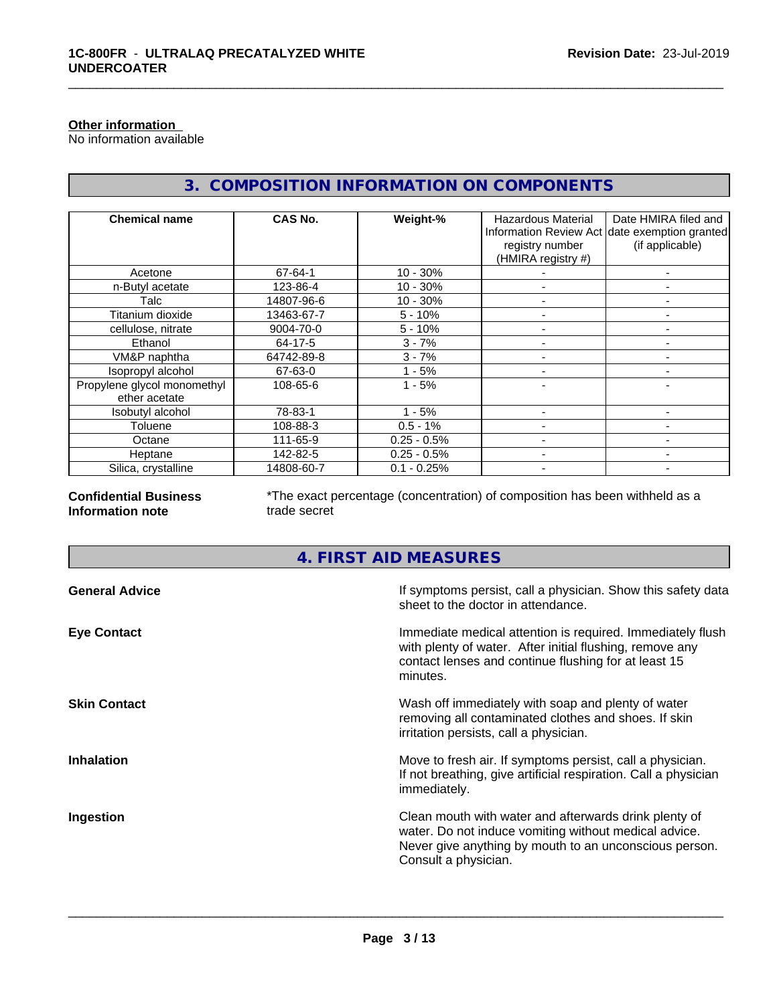#### **Other information**

No information available

# **3. COMPOSITION INFORMATION ON COMPONENTS**

\_\_\_\_\_\_\_\_\_\_\_\_\_\_\_\_\_\_\_\_\_\_\_\_\_\_\_\_\_\_\_\_\_\_\_\_\_\_\_\_\_\_\_\_\_\_\_\_\_\_\_\_\_\_\_\_\_\_\_\_\_\_\_\_\_\_\_\_\_\_\_\_\_\_\_\_\_\_\_\_\_\_\_\_\_\_\_\_\_\_\_\_\_

| <b>Chemical name</b>                         | CAS No.    | Weight-%      | <b>Hazardous Material</b><br>registry number<br>(HMIRA registry #) | Date HMIRA filed and<br>Information Review Act date exemption granted<br>(if applicable) |
|----------------------------------------------|------------|---------------|--------------------------------------------------------------------|------------------------------------------------------------------------------------------|
| Acetone                                      | 67-64-1    | $10 - 30%$    |                                                                    | -                                                                                        |
| n-Butyl acetate                              | 123-86-4   | $10 - 30%$    |                                                                    |                                                                                          |
| Talc                                         | 14807-96-6 | $10 - 30%$    |                                                                    |                                                                                          |
| Titanium dioxide                             | 13463-67-7 | $5 - 10%$     |                                                                    |                                                                                          |
| cellulose, nitrate                           | 9004-70-0  | $5 - 10%$     |                                                                    |                                                                                          |
| Ethanol                                      | 64-17-5    | $3 - 7%$      |                                                                    |                                                                                          |
| VM&P naphtha                                 | 64742-89-8 | $3 - 7%$      |                                                                    |                                                                                          |
| Isopropyl alcohol                            | 67-63-0    | $1 - 5%$      |                                                                    |                                                                                          |
| Propylene glycol monomethyl<br>ether acetate | 108-65-6   | $1 - 5%$      |                                                                    |                                                                                          |
| Isobutyl alcohol                             | 78-83-1    | $1 - 5%$      |                                                                    |                                                                                          |
| Toluene                                      | 108-88-3   | $0.5 - 1%$    |                                                                    |                                                                                          |
| Octane                                       | 111-65-9   | $0.25 - 0.5%$ |                                                                    |                                                                                          |
| Heptane                                      | 142-82-5   | $0.25 - 0.5%$ |                                                                    | -                                                                                        |
| Silica, crystalline                          | 14808-60-7 | $0.1 - 0.25%$ |                                                                    |                                                                                          |

**Confidential Business Information note**

\*The exact percentage (concentration) of composition has been withheld as a trade secret

# **4. FIRST AID MEASURES**

| If symptoms persist, call a physician. Show this safety data<br>sheet to the doctor in attendance.                                                                                               |
|--------------------------------------------------------------------------------------------------------------------------------------------------------------------------------------------------|
| Immediate medical attention is required. Immediately flush<br>with plenty of water. After initial flushing, remove any<br>contact lenses and continue flushing for at least 15<br>minutes.       |
| Wash off immediately with soap and plenty of water<br>removing all contaminated clothes and shoes. If skin<br>irritation persists, call a physician.                                             |
| Move to fresh air. If symptoms persist, call a physician.<br>If not breathing, give artificial respiration. Call a physician<br>immediately.                                                     |
| Clean mouth with water and afterwards drink plenty of<br>water. Do not induce vomiting without medical advice.<br>Never give anything by mouth to an unconscious person.<br>Consult a physician. |
|                                                                                                                                                                                                  |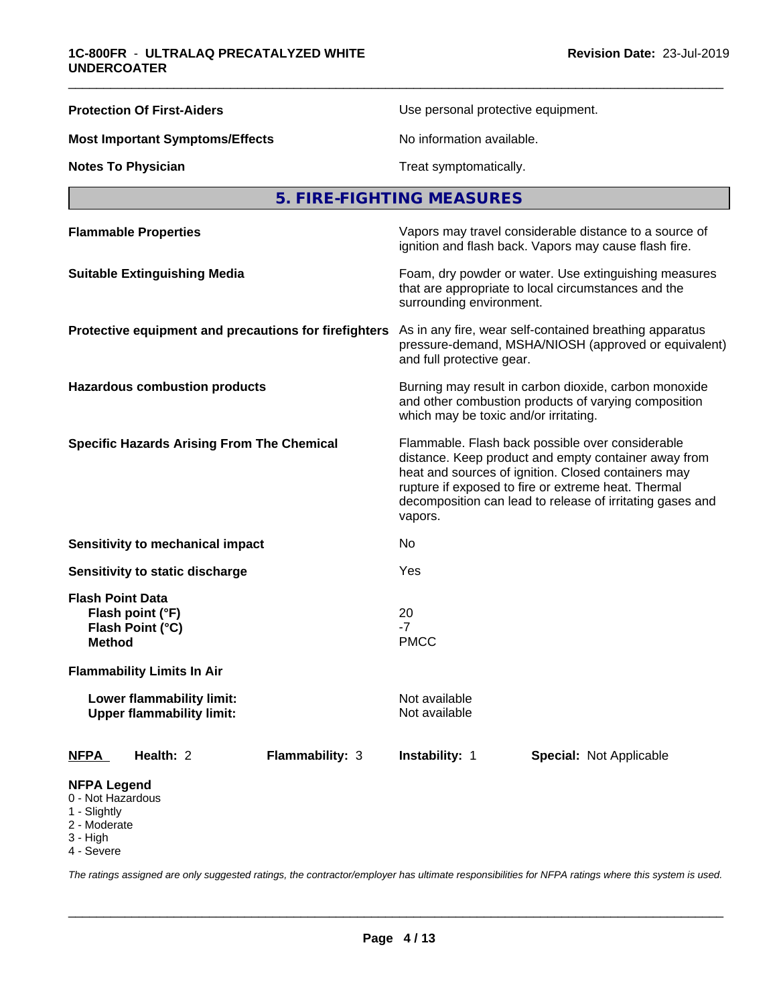| <b>Protection Of First-Aiders</b>                                         | Use personal protective equipment.                                                                                                                                                                                                                                                             |  |  |
|---------------------------------------------------------------------------|------------------------------------------------------------------------------------------------------------------------------------------------------------------------------------------------------------------------------------------------------------------------------------------------|--|--|
| <b>Most Important Symptoms/Effects</b>                                    | No information available.                                                                                                                                                                                                                                                                      |  |  |
| <b>Notes To Physician</b>                                                 | Treat symptomatically.                                                                                                                                                                                                                                                                         |  |  |
|                                                                           | 5. FIRE-FIGHTING MEASURES                                                                                                                                                                                                                                                                      |  |  |
| <b>Flammable Properties</b>                                               | Vapors may travel considerable distance to a source of<br>ignition and flash back. Vapors may cause flash fire.                                                                                                                                                                                |  |  |
| <b>Suitable Extinguishing Media</b>                                       | Foam, dry powder or water. Use extinguishing measures<br>that are appropriate to local circumstances and the<br>surrounding environment.                                                                                                                                                       |  |  |
| Protective equipment and precautions for firefighters                     | As in any fire, wear self-contained breathing apparatus<br>pressure-demand, MSHA/NIOSH (approved or equivalent)<br>and full protective gear.                                                                                                                                                   |  |  |
| <b>Hazardous combustion products</b>                                      | Burning may result in carbon dioxide, carbon monoxide<br>and other combustion products of varying composition<br>which may be toxic and/or irritating.                                                                                                                                         |  |  |
| <b>Specific Hazards Arising From The Chemical</b>                         | Flammable. Flash back possible over considerable<br>distance. Keep product and empty container away from<br>heat and sources of ignition. Closed containers may<br>rupture if exposed to fire or extreme heat. Thermal<br>decomposition can lead to release of irritating gases and<br>vapors. |  |  |
| Sensitivity to mechanical impact                                          | No                                                                                                                                                                                                                                                                                             |  |  |
| Sensitivity to static discharge                                           | Yes                                                                                                                                                                                                                                                                                            |  |  |
| <b>Flash Point Data</b><br>Flash point (°F)<br>Flash Point (°C)<br>Method | 20<br>$-7$<br><b>PMCC</b>                                                                                                                                                                                                                                                                      |  |  |
| <b>Flammability Limits In Air</b>                                         |                                                                                                                                                                                                                                                                                                |  |  |
| Lower flammability limit:<br><b>Upper flammability limit:</b>             | Not available<br>Not available                                                                                                                                                                                                                                                                 |  |  |
| Flammability: 3<br>Health: 2<br>NFPA                                      | Instability: 1<br><b>Special: Not Applicable</b>                                                                                                                                                                                                                                               |  |  |
| <b>NFPA Legend</b><br>0 - Not Hazardous<br>$4$ Clinkthy                   |                                                                                                                                                                                                                                                                                                |  |  |

- 1 Slightly
- 2 Moderate
- 3 High
- 4 Severe

*The ratings assigned are only suggested ratings, the contractor/employer has ultimate responsibilities for NFPA ratings where this system is used.*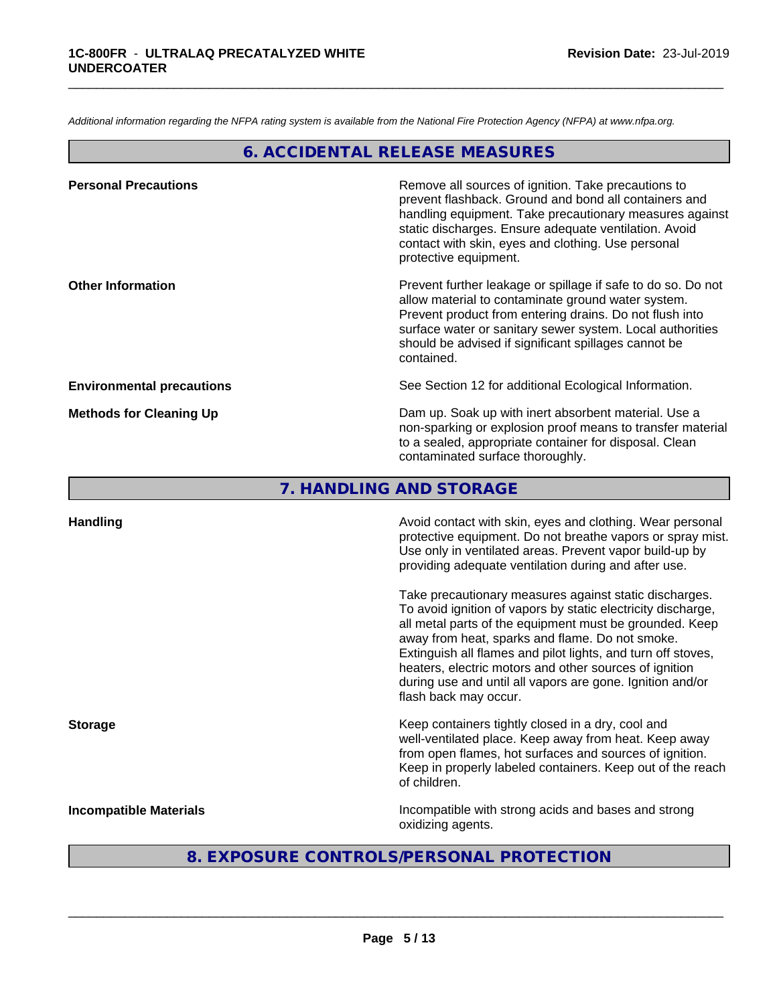*Additional information regarding the NFPA rating system is available from the National Fire Protection Agency (NFPA) at www.nfpa.org.*

## **6. ACCIDENTAL RELEASE MEASURES**

\_\_\_\_\_\_\_\_\_\_\_\_\_\_\_\_\_\_\_\_\_\_\_\_\_\_\_\_\_\_\_\_\_\_\_\_\_\_\_\_\_\_\_\_\_\_\_\_\_\_\_\_\_\_\_\_\_\_\_\_\_\_\_\_\_\_\_\_\_\_\_\_\_\_\_\_\_\_\_\_\_\_\_\_\_\_\_\_\_\_\_\_\_

| Remove all sources of ignition. Take precautions to<br>prevent flashback. Ground and bond all containers and<br>handling equipment. Take precautionary measures against<br>static discharges. Ensure adequate ventilation. Avoid<br>contact with skin, eyes and clothing. Use personal<br>protective equipment.  |
|------------------------------------------------------------------------------------------------------------------------------------------------------------------------------------------------------------------------------------------------------------------------------------------------------------------|
| Prevent further leakage or spillage if safe to do so. Do not<br>allow material to contaminate ground water system.<br>Prevent product from entering drains. Do not flush into<br>surface water or sanitary sewer system. Local authorities<br>should be advised if significant spillages cannot be<br>contained. |
| See Section 12 for additional Ecological Information.                                                                                                                                                                                                                                                            |
| Dam up. Soak up with inert absorbent material. Use a<br>non-sparking or explosion proof means to transfer material<br>to a sealed, appropriate container for disposal. Clean<br>contaminated surface thoroughly.                                                                                                 |
|                                                                                                                                                                                                                                                                                                                  |

**7. HANDLING AND STORAGE**

| <b>Handling</b>               | Avoid contact with skin, eyes and clothing. Wear personal<br>protective equipment. Do not breathe vapors or spray mist.<br>Use only in ventilated areas. Prevent vapor build-up by<br>providing adequate ventilation during and after use.                                                                                                                                                                                                           |
|-------------------------------|------------------------------------------------------------------------------------------------------------------------------------------------------------------------------------------------------------------------------------------------------------------------------------------------------------------------------------------------------------------------------------------------------------------------------------------------------|
|                               | Take precautionary measures against static discharges.<br>To avoid ignition of vapors by static electricity discharge,<br>all metal parts of the equipment must be grounded. Keep<br>away from heat, sparks and flame. Do not smoke.<br>Extinguish all flames and pilot lights, and turn off stoves,<br>heaters, electric motors and other sources of ignition<br>during use and until all vapors are gone. Ignition and/or<br>flash back may occur. |
| <b>Storage</b>                | Keep containers tightly closed in a dry, cool and<br>well-ventilated place. Keep away from heat. Keep away<br>from open flames, hot surfaces and sources of ignition.<br>Keep in properly labeled containers. Keep out of the reach<br>of children.                                                                                                                                                                                                  |
| <b>Incompatible Materials</b> | Incompatible with strong acids and bases and strong<br>oxidizing agents.                                                                                                                                                                                                                                                                                                                                                                             |

# **8. EXPOSURE CONTROLS/PERSONAL PROTECTION**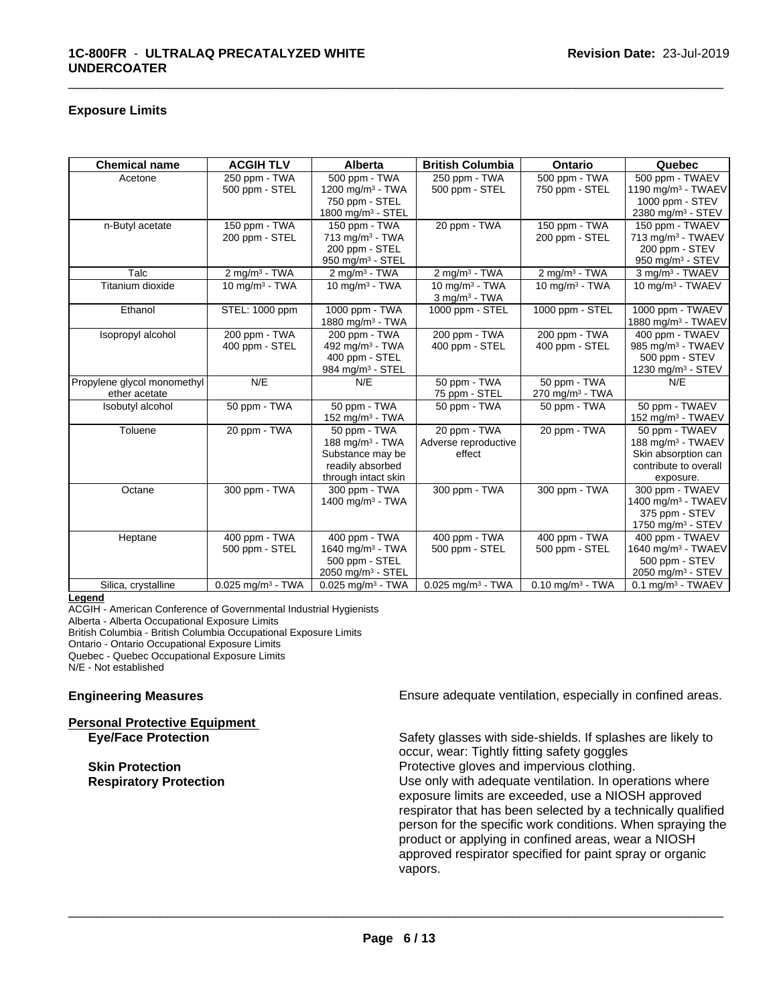### **Exposure Limits**

| <b>Chemical name</b>        | <b>ACGIH TLV</b>                | <b>Alberta</b>                  | <b>British Columbia</b>         | Ontario                        | Quebec                          |
|-----------------------------|---------------------------------|---------------------------------|---------------------------------|--------------------------------|---------------------------------|
| Acetone                     | 250 ppm - TWA                   | 500 ppm - TWA                   | 250 ppm - TWA                   | 500 ppm - TWA                  | 500 ppm - TWAEV                 |
|                             | 500 ppm - STEL                  | 1200 mg/m $3$ - TWA             | 500 ppm - STEL                  | 750 ppm - STEL                 | 1190 mg/m $3$ - TWAEV           |
|                             |                                 | 750 ppm - STEL                  |                                 |                                | 1000 ppm - STEV                 |
|                             |                                 | 1800 mg/m <sup>3</sup> - STEL   |                                 |                                | 2380 mg/m <sup>3</sup> - STEV   |
| n-Butyl acetate             | 150 ppm - TWA                   | 150 ppm - TWA                   | 20 ppm - TWA                    | 150 ppm - TWA                  | 150 ppm - TWAEV                 |
|                             | 200 ppm - STEL                  | $713$ mg/m <sup>3</sup> - TWA   |                                 | 200 ppm - STEL                 | 713 mg/m <sup>3</sup> - TWAEV   |
|                             |                                 | 200 ppm - STEL                  |                                 |                                | 200 ppm - STEV                  |
|                             |                                 | 950 mg/m <sup>3</sup> - STEL    |                                 |                                | 950 mg/m $3 -$ STEV             |
| Talc                        | $2$ mg/m $3$ - TWA              | $2$ mg/m <sup>3</sup> - TWA     | $2$ mg/m <sup>3</sup> - TWA     | $2$ mg/m <sup>3</sup> - TWA    | 3 mg/m <sup>3</sup> - TWAEV     |
| Titanium dioxide            | 10 mg/m $3$ - TWA               | 10 mg/m $3 - TWA$               | 10 mg/m $3$ - TWA               | 10 mg/m $3$ - TWA              | 10 mg/m <sup>3</sup> - TWAEV    |
|                             |                                 |                                 | $3$ mg/m <sup>3</sup> - TWA     |                                |                                 |
| Ethanol                     | STEL: 1000 ppm                  | 1000 ppm - TWA                  | 1000 ppm - STEL                 | 1000 ppm - STEL                | 1000 ppm - TWAEV                |
|                             |                                 | 1880 mg/m <sup>3</sup> - TWA    |                                 |                                | 1880 mg/m <sup>3</sup> - TWAEV  |
| Isopropyl alcohol           | 200 ppm - TWA                   | 200 ppm - TWA                   | 200 ppm - TWA                   | 200 ppm - TWA                  | 400 ppm - TWAEV                 |
|                             | 400 ppm - STEL                  | 492 mg/m <sup>3</sup> - TWA     | 400 ppm - STEL                  | 400 ppm - STEL                 | 985 mg/m <sup>3</sup> - TWAEV   |
|                             |                                 | 400 ppm - STEL                  |                                 |                                | 500 ppm - STEV                  |
|                             |                                 | 984 mg/m <sup>3</sup> - STEL    |                                 |                                | 1230 mg/m <sup>3</sup> - STEV   |
| Propylene glycol monomethyl | N/E                             | N/E                             | 50 ppm - TWA                    | 50 ppm - TWA                   | N/E                             |
| ether acetate               |                                 |                                 | 75 ppm - STEL                   | $270$ mg/m <sup>3</sup> - TWA  |                                 |
| Isobutyl alcohol            | 50 ppm - TWA                    | 50 ppm - TWA                    | 50 ppm - TWA                    | 50 ppm - TWA                   | 50 ppm - TWAEV                  |
|                             |                                 | 152 mg/m $3$ - TWA              |                                 |                                | 152 mg/m $3$ - TWAEV            |
| Toluene                     | 20 ppm - TWA                    | 50 ppm - TWA                    | 20 ppm - TWA                    | 20 ppm - TWA                   | 50 ppm - TWAEV                  |
|                             |                                 | 188 mg/m <sup>3</sup> - TWA     | Adverse reproductive            |                                | 188 mg/m <sup>3</sup> - TWAEV   |
|                             |                                 | Substance may be                | effect                          |                                | Skin absorption can             |
|                             |                                 | readily absorbed                |                                 |                                | contribute to overall           |
|                             |                                 | through intact skin             |                                 |                                | exposure.                       |
| Octane                      | 300 ppm - TWA                   | 300 ppm - TWA                   | 300 ppm - TWA                   | 300 ppm - TWA                  | 300 ppm - TWAEV                 |
|                             |                                 | 1400 mg/m $3$ - TWA             |                                 |                                | 1400 mg/m <sup>3</sup> - TWAEV  |
|                             |                                 |                                 |                                 |                                | 375 ppm - STEV                  |
|                             |                                 |                                 |                                 |                                | 1750 mg/m $3 -$ STEV            |
| Heptane                     | 400 ppm - TWA                   | 400 ppm - TWA                   | 400 ppm - TWA                   | 400 ppm - TWA                  | 400 ppm - TWAEV                 |
|                             | 500 ppm - STEL                  | 1640 mg/m <sup>3</sup> - TWA    | 500 ppm - STEL                  | 500 ppm - STEL                 | 1640 mg/m <sup>3</sup> - TWAEV  |
|                             |                                 | 500 ppm - STEL                  |                                 |                                | 500 ppm - STEV                  |
|                             |                                 | 2050 mg/m $3 -$ STEL            |                                 |                                | 2050 mg/m <sup>3</sup> - STEV   |
| Silica, crystalline         | $0.025$ mg/m <sup>3</sup> - TWA | $0.025$ mg/m <sup>3</sup> - TWA | $0.025$ mg/m <sup>3</sup> - TWA | $0.10$ mg/m <sup>3</sup> - TWA | $0.1$ mg/m <sup>3</sup> - TWAEV |

\_\_\_\_\_\_\_\_\_\_\_\_\_\_\_\_\_\_\_\_\_\_\_\_\_\_\_\_\_\_\_\_\_\_\_\_\_\_\_\_\_\_\_\_\_\_\_\_\_\_\_\_\_\_\_\_\_\_\_\_\_\_\_\_\_\_\_\_\_\_\_\_\_\_\_\_\_\_\_\_\_\_\_\_\_\_\_\_\_\_\_\_\_

#### **Legend**

ACGIH - American Conference of Governmental Industrial Hygienists Alberta - Alberta Occupational Exposure Limits British Columbia - British Columbia Occupational Exposure Limits Ontario - Ontario Occupational Exposure Limits Quebec - Quebec Occupational Exposure Limits N/E - Not established

#### **Personal Protective Equipment**

**Engineering Measures Ensure adequate ventilation, especially in confined areas.** 

**Eye/Face Protection** Safety glasses with side-shields. If splashes are likely to occur, wear: Tightly fitting safety goggles **Skin Protection Protection Protective gloves and impervious clothing. Respiratory Protection Exercise 2018** Use only with adequate ventilation. In operations where exposure limits are exceeded, use a NIOSH approved respirator that has been selected by a technically qualified person for the specific work conditions. When spraying the product or applying in confined areas, wear a NIOSH approved respirator specified for paint spray or organic vapors.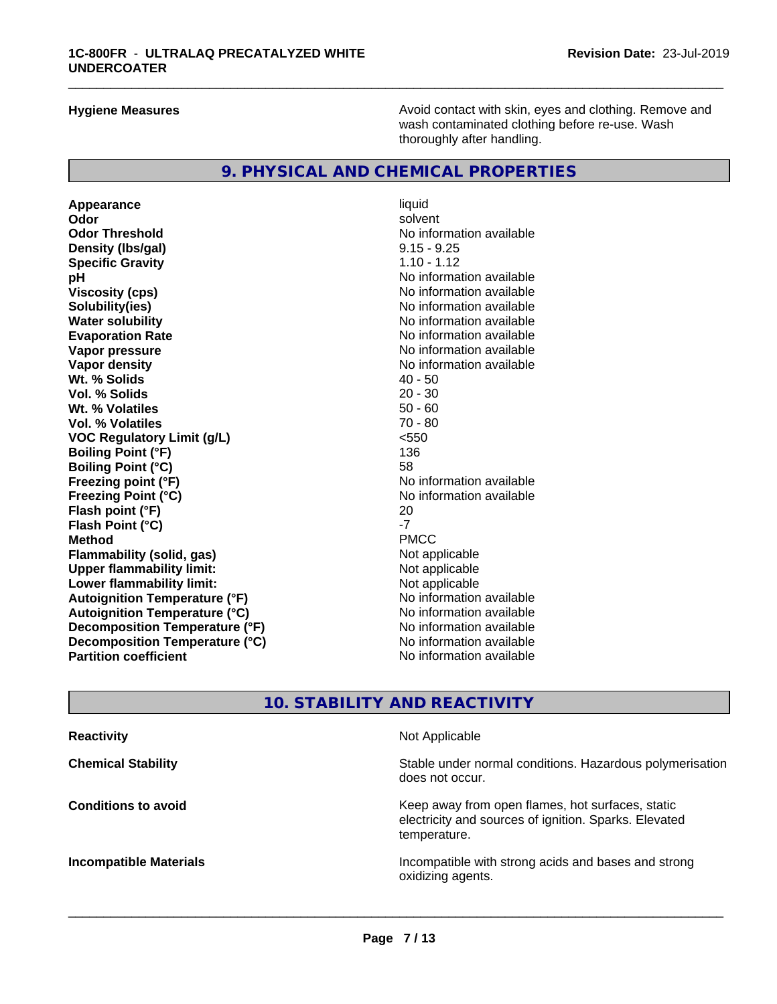**Hygiene Measures Avoid contact with skin, eyes and clothing. Remove and Avoid contact with skin, eyes and clothing. Remove and Avoid contact with skin, eyes and clothing. Remove and** wash contaminated clothing before re-use. Wash thoroughly after handling.

### **9. PHYSICAL AND CHEMICAL PROPERTIES**

**Appearance** liquid **Odor** solvent **Odor Threshold No information available No information available Density (lbs/gal)** 9.15 - 9.25 **Specific Gravity** 1.10 - 1.12 **pH** No information available **Viscosity (cps)** No information available **Solubility(ies)** No information available **Water solubility**<br> **Evaporation Rate**<br> **Evaporation Rate**<br> **Evaporation Rate Vapor pressure** No information available **Vapor density**<br> **We Solids**<br>
We Solids
2019<br>
2019<br>
2019<br>
2019<br>
2019<br>
2019<br>
2019<br>
2019<br>
2019<br>
2019<br>
2019<br>
2019<br>
2019<br>
2019<br>
2019<br>
2019 **Wt. % Solids** 40 - 50<br> **Vol. % Solids** 20 - 30 **Vol. % Solids Wt. % Volatiles 50 - 60<br>
<b>Vol. % Volatiles** 50 - 60<br> **Vol. % Volatiles** 50 - 80 **Vol. % Volatiles VOC Regulatory Limit (g/L)** <550 **Boiling Point (°F)** 136 **Boiling Point (°C) Freezing point (°F)** No information available **Freezing Point (°C)**<br> **Flash noint (°F)**<br> **Flash noint (°F)**<br>
20<br>
20 **Flash point (°F) Flash Point (°C)** -7 **Method** PMCC **Flammability (solid, gas)** Not applicable<br> **Upper flammability limit:** Not applicable **Upper flammability limit: Lower flammability limit:**<br> **Autoignition Temperature (°F)** Not applicable havailable available **Autoignition Temperature (°F) Autoignition Temperature (°C)**<br> **Decomposition Temperature (°F)** Moinformation available **Decomposition Temperature (°F)** No information available<br> **Decomposition Temperature (°C)** No information available **Decomposition Temperature (°C) Partition coefficient** No information available

**Evaporation Rate** No information available

\_\_\_\_\_\_\_\_\_\_\_\_\_\_\_\_\_\_\_\_\_\_\_\_\_\_\_\_\_\_\_\_\_\_\_\_\_\_\_\_\_\_\_\_\_\_\_\_\_\_\_\_\_\_\_\_\_\_\_\_\_\_\_\_\_\_\_\_\_\_\_\_\_\_\_\_\_\_\_\_\_\_\_\_\_\_\_\_\_\_\_\_\_

## **10. STABILITY AND REACTIVITY**

| <b>Reactivity</b>             | Not Applicable                                                                                                            |
|-------------------------------|---------------------------------------------------------------------------------------------------------------------------|
| <b>Chemical Stability</b>     | Stable under normal conditions. Hazardous polymerisation<br>does not occur.                                               |
| <b>Conditions to avoid</b>    | Keep away from open flames, hot surfaces, static<br>electricity and sources of ignition. Sparks. Elevated<br>temperature. |
| <b>Incompatible Materials</b> | Incompatible with strong acids and bases and strong<br>oxidizing agents.                                                  |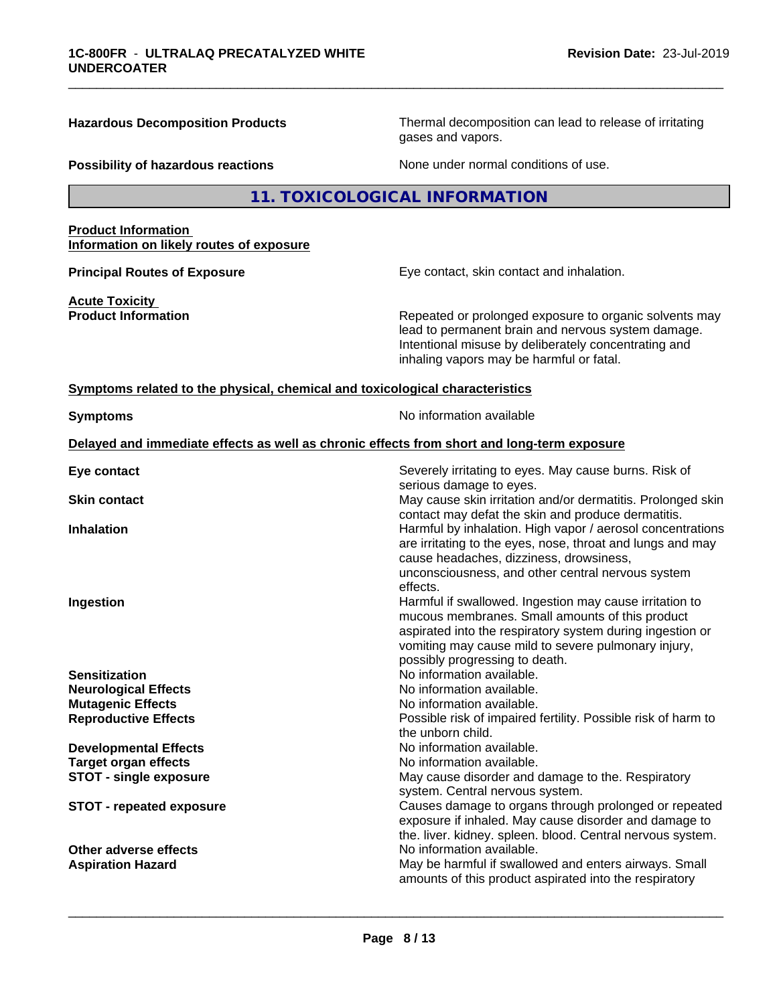**Hazardous Decomposition Products** Thermal decomposition can lead to release of irritating gases and vapors. **Possibility of hazardous reactions** None under normal conditions of use. **11. TOXICOLOGICAL INFORMATION Product Information Information on likely routes of exposure Principal Routes of Exposure Exposure** Eye contact, skin contact and inhalation. **Acute Toxicity Product Information Repeated or prolonged exposure to organic solvents may** lead to permanent brain and nervous system damage. Intentional misuse by deliberately concentrating and inhaling vapors may be harmful or fatal. **<u>Symptoms related to the physical, chemical and toxicological characteristics</u> Symptoms** No information available **Delayed and immediate effects as well as chronic effects from short and long-term exposure Eye contact** Severely irritating to eyes. May cause burns. Risk of serious damage to eyes. **Skin contact** May cause skin irritation and/or dermatitis. Prolonged skin contact may defat the skin and produce dermatitis. **Inhalation Inhalation Harmful by inhalation. High vapor / aerosol concentrations** are irritating to the eyes, nose, throat and lungs and may cause headaches, dizziness, drowsiness, unconsciousness, and other central nervous system effects. **Ingestion Ingestion Example 2 Index 1 Harmful if swallowed. Ingestion may cause irritation to** mucous membranes. Small amounts of this product aspirated into the respiratory system during ingestion or vomiting may cause mild to severe pulmonary injury, possibly progressing to death. **Sensitization**<br> **No information available.**<br> **No information available.**<br>
No information available. **No information available. Mutagenic Effects Mutagenic Effects No information available. Reproductive Effects Possible risk of impaired fertility. Possible risk of harm to** the unborn child. **Developmental Effects** No information available. **Target organ effects No information available.** No information available. **STOT -** single exposure **May cause disorder and damage to the. Respiratory May cause disorder and damage to the. Respiratory** system. Central nervous system. **STOT - repeated exposure** Causes damage to organs through prolonged or repeated exposure if inhaled. May cause disorder and damage to the. liver. kidney. spleen. blood. Central nervous system. **Other adverse effects** No information available. Aspiration Hazard **May be harmful if swallowed and enters airways. Small** May be harmful if swallowed and enters airways. Small amounts of this product aspirated into the respiratory  $\overline{\phantom{a}}$  ,  $\overline{\phantom{a}}$  ,  $\overline{\phantom{a}}$  ,  $\overline{\phantom{a}}$  ,  $\overline{\phantom{a}}$  ,  $\overline{\phantom{a}}$  ,  $\overline{\phantom{a}}$  ,  $\overline{\phantom{a}}$  ,  $\overline{\phantom{a}}$  ,  $\overline{\phantom{a}}$  ,  $\overline{\phantom{a}}$  ,  $\overline{\phantom{a}}$  ,  $\overline{\phantom{a}}$  ,  $\overline{\phantom{a}}$  ,  $\overline{\phantom{a}}$  ,  $\overline{\phantom{a}}$ 

\_\_\_\_\_\_\_\_\_\_\_\_\_\_\_\_\_\_\_\_\_\_\_\_\_\_\_\_\_\_\_\_\_\_\_\_\_\_\_\_\_\_\_\_\_\_\_\_\_\_\_\_\_\_\_\_\_\_\_\_\_\_\_\_\_\_\_\_\_\_\_\_\_\_\_\_\_\_\_\_\_\_\_\_\_\_\_\_\_\_\_\_\_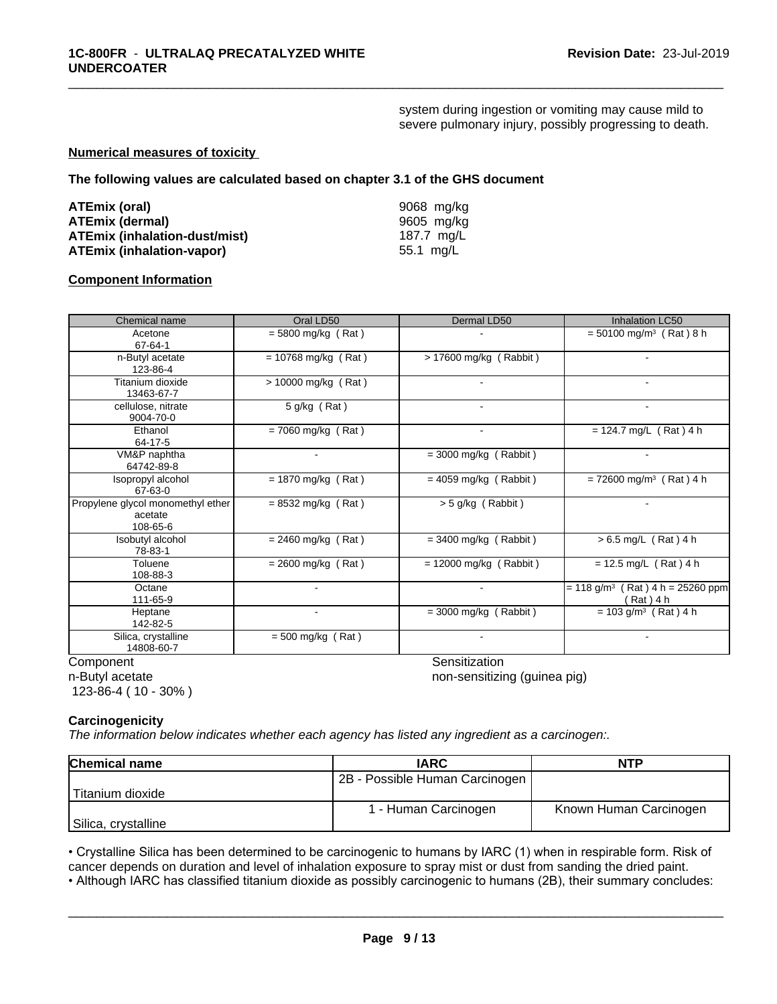system during ingestion or vomiting may cause mild to severe pulmonary injury, possibly progressing to death.

\_\_\_\_\_\_\_\_\_\_\_\_\_\_\_\_\_\_\_\_\_\_\_\_\_\_\_\_\_\_\_\_\_\_\_\_\_\_\_\_\_\_\_\_\_\_\_\_\_\_\_\_\_\_\_\_\_\_\_\_\_\_\_\_\_\_\_\_\_\_\_\_\_\_\_\_\_\_\_\_\_\_\_\_\_\_\_\_\_\_\_\_\_

#### **Numerical measures of toxicity**

**The following values are calculated based on chapter 3.1 of the GHS document**

| ATEmix (oral)                        | 9068 mg/kg |
|--------------------------------------|------------|
| <b>ATEmix (dermal)</b>               | 9605 mg/kg |
| <b>ATEmix (inhalation-dust/mist)</b> | 187.7 ma/L |
| <b>ATEmix (inhalation-vapor)</b>     | 55.1 mg/L  |

#### **Component Information**

| Chemical name                                            | Oral LD50             | Dermal LD50              | Inhalation LC50                                             |
|----------------------------------------------------------|-----------------------|--------------------------|-------------------------------------------------------------|
| Acetone<br>67-64-1                                       | $=$ 5800 mg/kg (Rat)  |                          | $= 50100$ mg/m <sup>3</sup> (Rat) 8 h                       |
| n-Butyl acetate<br>123-86-4                              | $= 10768$ mg/kg (Rat) | $> 17600$ mg/kg (Rabbit) | $\sim$                                                      |
| Titanium dioxide<br>13463-67-7                           | > 10000 mg/kg (Rat)   |                          | $\sim$                                                      |
| cellulose, nitrate<br>9004-70-0                          | 5 g/kg (Rat)          | $\blacksquare$           | $\overline{\phantom{a}}$                                    |
| Ethanol<br>64-17-5                                       | $= 7060$ mg/kg (Rat)  | $\blacksquare$           | $= 124.7$ mg/L (Rat) 4 h                                    |
| VM&P naphtha<br>64742-89-8                               | $\blacksquare$        | $=$ 3000 mg/kg (Rabbit)  | $\sim$                                                      |
| Isopropyl alcohol<br>67-63-0                             | $= 1870$ mg/kg (Rat)  | $= 4059$ mg/kg (Rabbit)  | $= 72600$ mg/m <sup>3</sup> (Rat) 4 h                       |
| Propylene glycol monomethyl ether<br>acetate<br>108-65-6 | $= 8532$ mg/kg (Rat)  | > 5 g/kg (Rabbit)        |                                                             |
| Isobutyl alcohol<br>78-83-1                              | $= 2460$ mg/kg (Rat)  | $=$ 3400 mg/kg (Rabbit)  | $> 6.5$ mg/L (Rat) 4 h                                      |
| Toluene<br>108-88-3                                      | $= 2600$ mg/kg (Rat)  | $= 12000$ mg/kg (Rabbit) | $= 12.5$ mg/L (Rat) 4 h                                     |
| Octane<br>111-65-9                                       |                       | $\blacksquare$           | $= 118$ g/m <sup>3</sup> (Rat) 4 h = 25260 ppm<br>(Rat) 4 h |
| Heptane<br>142-82-5                                      |                       | $=$ 3000 mg/kg (Rabbit)  | $= 103$ g/m <sup>3</sup> (Rat) 4 h                          |
| Silica, crystalline<br>14808-60-7                        | $= 500$ mg/kg (Rat)   | ٠                        |                                                             |

n-Butyl acetate

123-86-4 ( 10 - 30% )

Component Component Component Component Component Component Component Component Component Component Component Component Component Component Component Component Component Component Component Component Component Component Co

 $\overline{\phantom{a}}$  ,  $\overline{\phantom{a}}$  ,  $\overline{\phantom{a}}$  ,  $\overline{\phantom{a}}$  ,  $\overline{\phantom{a}}$  ,  $\overline{\phantom{a}}$  ,  $\overline{\phantom{a}}$  ,  $\overline{\phantom{a}}$  ,  $\overline{\phantom{a}}$  ,  $\overline{\phantom{a}}$  ,  $\overline{\phantom{a}}$  ,  $\overline{\phantom{a}}$  ,  $\overline{\phantom{a}}$  ,  $\overline{\phantom{a}}$  ,  $\overline{\phantom{a}}$  ,  $\overline{\phantom{a}}$ 

non-sensitizing (guinea pig)

#### **Carcinogenicity**

*The information below indicateswhether each agency has listed any ingredient as a carcinogen:.*

| <b>Chemical name</b> | <b>IARC</b>                    | <b>NTP</b>             |
|----------------------|--------------------------------|------------------------|
|                      | 2B - Possible Human Carcinogen |                        |
| l Titanium dioxide   |                                |                        |
|                      | 1 - Human Carcinogen           | Known Human Carcinogen |
| Silica, crystalline  |                                |                        |

• Crystalline Silica has been determined to be carcinogenic to humans by IARC (1) when in respirable form. Risk of cancer depends on duration and level of inhalation exposure to spray mist or dust from sanding the dried pa cancer depends on duration and level of inhalation exposure to spray mist or dust from sanding the dried paint.

• Although IARC has classified titanium dioxide as possibly carcinogenic to humans (2B), their summary concludes: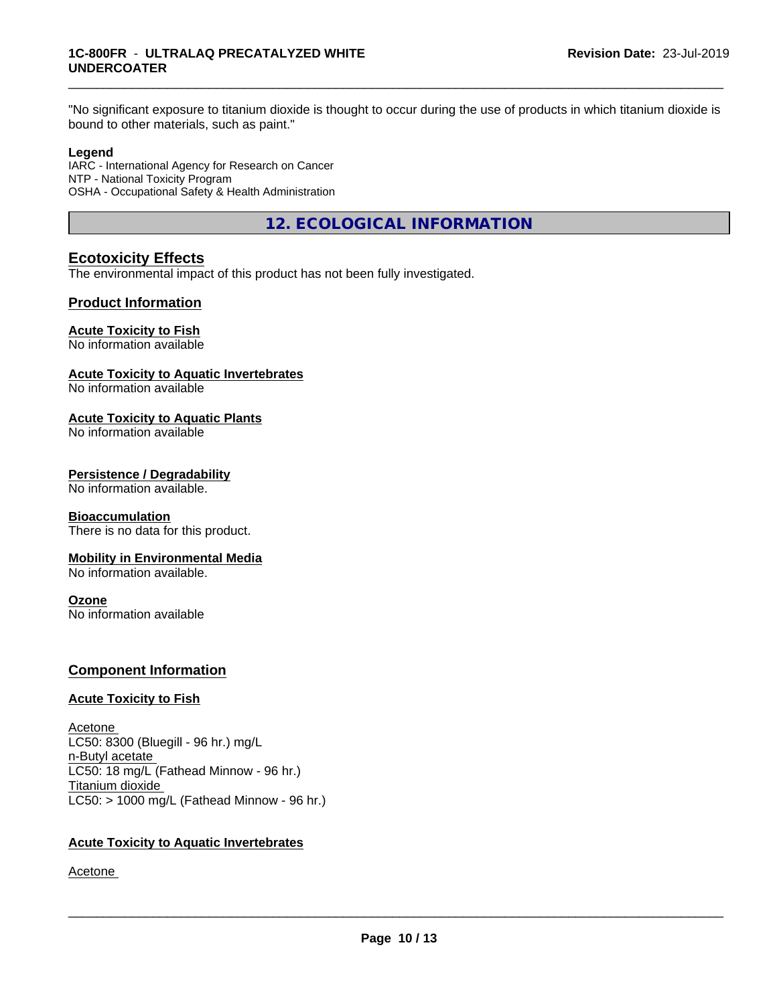#### **1C-800FR** - **ULTRALAQ PRECATALYZED WHITE UNDERCOATER**

"No significant exposure to titanium dioxide is thought to occur during the use of products in which titanium dioxide is bound to other materials, such as paint."

\_\_\_\_\_\_\_\_\_\_\_\_\_\_\_\_\_\_\_\_\_\_\_\_\_\_\_\_\_\_\_\_\_\_\_\_\_\_\_\_\_\_\_\_\_\_\_\_\_\_\_\_\_\_\_\_\_\_\_\_\_\_\_\_\_\_\_\_\_\_\_\_\_\_\_\_\_\_\_\_\_\_\_\_\_\_\_\_\_\_\_\_\_

#### **Legend**

IARC - International Agency for Research on Cancer NTP - National Toxicity Program OSHA - Occupational Safety & Health Administration

**12. ECOLOGICAL INFORMATION**

## **Ecotoxicity Effects**

The environmental impact of this product has not been fully investigated.

### **Product Information**

#### **Acute Toxicity to Fish**

No information available

#### **Acute Toxicity to Aquatic Invertebrates**

No information available

#### **Acute Toxicity to Aquatic Plants**

No information available

#### **Persistence / Degradability**

No information available.

#### **Bioaccumulation**

There is no data for this product.

#### **Mobility in Environmental Media**

No information available.

#### **Ozone**

No information available

### **Component Information**

#### **Acute Toxicity to Fish**

Acetone LC50: 8300 (Bluegill - 96 hr.) mg/L n-Butyl acetate LC50: 18 mg/L (Fathead Minnow - 96 hr.) Titanium dioxide  $LC50:$  > 1000 mg/L (Fathead Minnow - 96 hr.)

#### **Acute Toxicity to Aquatic Invertebrates**

Acetone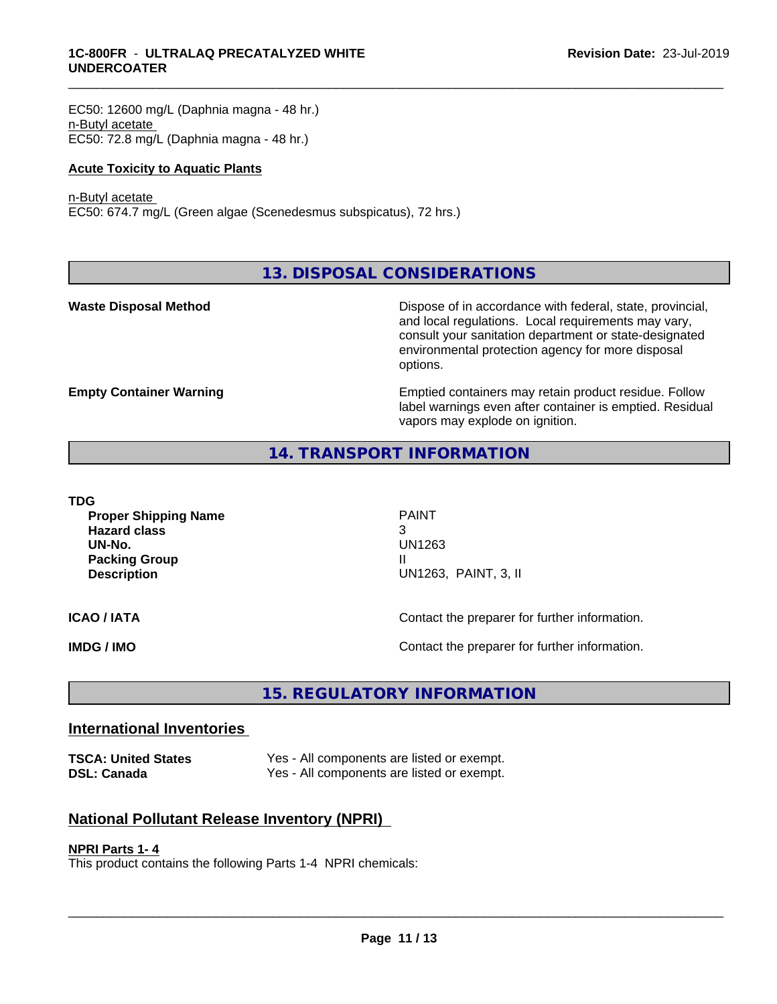EC50: 12600 mg/L (Daphnia magna - 48 hr.) n-Butyl acetate EC50: 72.8 mg/L (Daphnia magna - 48 hr.)

#### **Acute Toxicity to Aquatic Plants**

#### n-Butyl acetate

EC50: 674.7 mg/L (Green algae (Scenedesmus subspicatus), 72 hrs.)

**13. DISPOSAL CONSIDERATIONS**

**Waste Disposal Method Dispose of in accordance with federal, state, provincial,** and local regulations. Local requirements may vary, consult your sanitation department or state-designated environmental protection agency for more disposal options.

**Empty Container Warning <b>Emptied** Containers may retain product residue. Follow label warnings even after container is emptied. Residual vapors may explode on ignition.

### **14. TRANSPORT INFORMATION**

**TDG**

**Proper Shipping Name** PAINT **Hazard class** 3 **UN-No.** UN1263 **Packing Group III Description** UN1263, PAINT, 3, II

\_\_\_\_\_\_\_\_\_\_\_\_\_\_\_\_\_\_\_\_\_\_\_\_\_\_\_\_\_\_\_\_\_\_\_\_\_\_\_\_\_\_\_\_\_\_\_\_\_\_\_\_\_\_\_\_\_\_\_\_\_\_\_\_\_\_\_\_\_\_\_\_\_\_\_\_\_\_\_\_\_\_\_\_\_\_\_\_\_\_\_\_\_

**ICAO / IATA ICAO / IATA Contact the preparer for further information.** 

**IMDG / IMO Contact the preparer for further information.** 

# **15. REGULATORY INFORMATION**

## **International Inventories**

**TSCA: United States** Yes - All components are listed or exempt. **DSL: Canada** Yes - All components are listed or exempt.

## **National Pollutant Release Inventory (NPRI)**

#### **NPRI Parts 1- 4**

This product contains the following Parts 1-4 NPRI chemicals: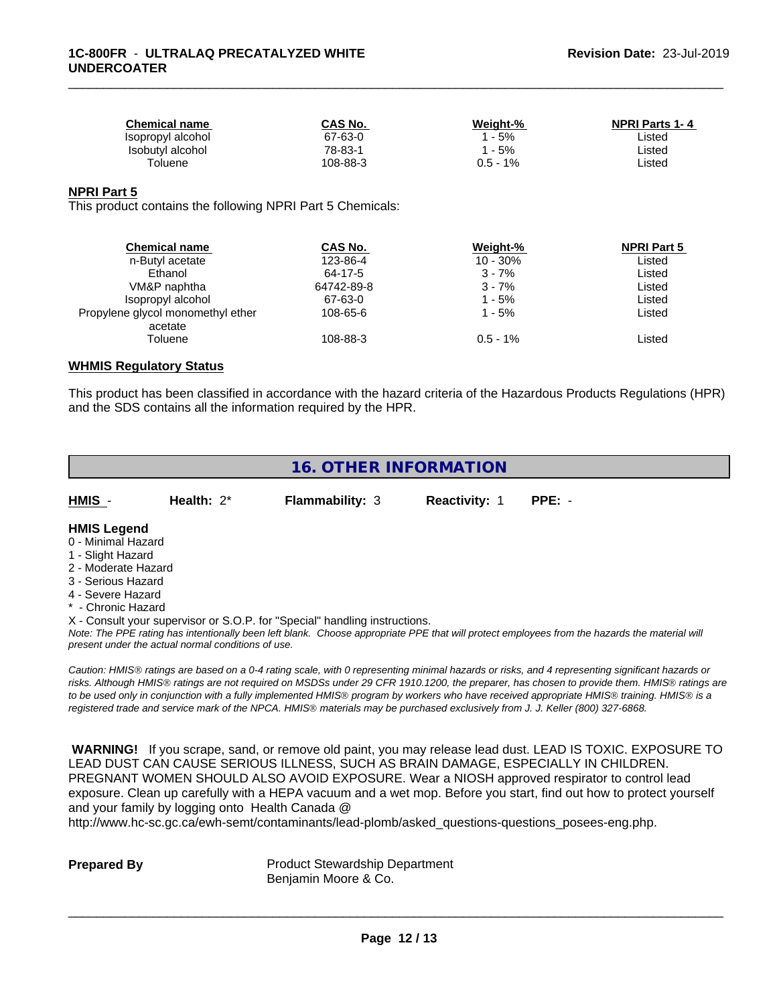| <b>Chemical name</b> | CAS No.  | Weight-%    | <b>NPRI Parts 1-4</b> |
|----------------------|----------|-------------|-----------------------|
| Isopropyl alcohol    | 67-63-0  | $-5%$       | ∟isted                |
| Isobutyl alcohol     | 78-83-1  | $-5%$       | ∟isted                |
| Toluene              | 108-88-3 | 1%<br>J.5 - | Listed                |

\_\_\_\_\_\_\_\_\_\_\_\_\_\_\_\_\_\_\_\_\_\_\_\_\_\_\_\_\_\_\_\_\_\_\_\_\_\_\_\_\_\_\_\_\_\_\_\_\_\_\_\_\_\_\_\_\_\_\_\_\_\_\_\_\_\_\_\_\_\_\_\_\_\_\_\_\_\_\_\_\_\_\_\_\_\_\_\_\_\_\_\_\_

#### **NPRI Part 5**

This product contains the following NPRI Part 5 Chemicals:

| <b>Chemical name</b>                         | CAS No.    | Weight-%    | <b>NPRI Part 5</b> |
|----------------------------------------------|------------|-------------|--------------------|
| n-Butyl acetate                              | 123-86-4   | 10 - 30%    | Listed             |
| Ethanol                                      | 64-17-5    | $3 - 7%$    | Listed             |
| VM&P naphtha                                 | 64742-89-8 | $3 - 7%$    | Listed             |
| Isopropyl alcohol                            | 67-63-0    | 1 - 5%      | Listed             |
| Propylene glycol monomethyl ether<br>acetate | 108-65-6   | 1 - 5%      | Listed             |
| Toluene                                      | 108-88-3   | $0.5 - 1\%$ | Listed             |

#### **WHMIS Regulatory Status**

This product has been classified in accordance with the hazard criteria of the Hazardous Products Regulations (HPR) and the SDS contains all the information required by the HPR.

# **16. OTHER INFORMATION**

| HMIS | Health: $2^*$ | <b>Flammability: 3</b> | <b>Reactivity: 1</b> | PPE: - |
|------|---------------|------------------------|----------------------|--------|
|      |               |                        |                      |        |

#### **HMIS Legend**

- 0 Minimal Hazard
- 1 Slight Hazard
- 2 Moderate Hazard
- 3 Serious Hazard
- 4 Severe Hazard
- \* Chronic Hazard

X - Consult your supervisor or S.O.P. for "Special" handling instructions.

*Note: The PPE rating has intentionally been left blank. Choose appropriate PPE that will protect employees from the hazards the material will present under the actual normal conditions of use.*

*Caution: HMISÒ ratings are based on a 0-4 rating scale, with 0 representing minimal hazards or risks, and 4 representing significant hazards or risks. Although HMISÒ ratings are not required on MSDSs under 29 CFR 1910.1200, the preparer, has chosen to provide them. HMISÒ ratings are to be used only in conjunction with a fully implemented HMISÒ program by workers who have received appropriate HMISÒ training. HMISÒ is a registered trade and service mark of the NPCA. HMISÒ materials may be purchased exclusively from J. J. Keller (800) 327-6868.*

 **WARNING!** If you scrape, sand, or remove old paint, you may release lead dust. LEAD IS TOXIC. EXPOSURE TO LEAD DUST CAN CAUSE SERIOUS ILLNESS, SUCH AS BRAIN DAMAGE, ESPECIALLY IN CHILDREN. PREGNANT WOMEN SHOULD ALSO AVOID EXPOSURE.Wear a NIOSH approved respirator to control lead exposure. Clean up carefully with a HEPA vacuum and a wet mop. Before you start, find out how to protect yourself and your family by logging onto Health Canada @

http://www.hc-sc.gc.ca/ewh-semt/contaminants/lead-plomb/asked\_questions-questions\_posees-eng.php.

**Prepared By** Product Stewardship Department Benjamin Moore & Co.